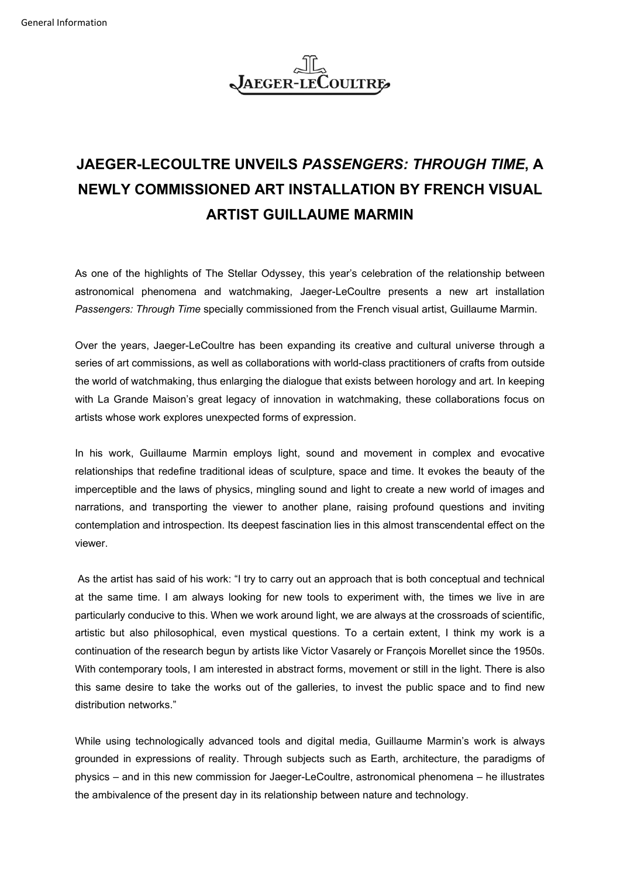

## **JAEGER-LECOULTRE UNVEILS** *PASSENGERS: THROUGH TIME***, A NEWLY COMMISSIONED ART INSTALLATION BY FRENCH VISUAL ARTIST GUILLAUME MARMIN**

As one of the highlights of The Stellar Odyssey, this year's celebration of the relationship between astronomical phenomena and watchmaking, Jaeger-LeCoultre presents a new art installation *Passengers: Through Time* specially commissioned from the French visual artist, Guillaume Marmin.

Over the years, Jaeger-LeCoultre has been expanding its creative and cultural universe through a series of art commissions, as well as collaborations with world-class practitioners of crafts from outside the world of watchmaking, thus enlarging the dialogue that exists between horology and art. In keeping with La Grande Maison's great legacy of innovation in watchmaking, these collaborations focus on artists whose work explores unexpected forms of expression.

In his work, Guillaume Marmin employs light, sound and movement in complex and evocative relationships that redefine traditional ideas of sculpture, space and time. It evokes the beauty of the imperceptible and the laws of physics, mingling sound and light to create a new world of images and narrations, and transporting the viewer to another plane, raising profound questions and inviting contemplation and introspection. Its deepest fascination lies in this almost transcendental effect on the viewer.

As the artist has said of his work: "I try to carry out an approach that is both conceptual and technical at the same time. I am always looking for new tools to experiment with, the times we live in are particularly conducive to this. When we work around light, we are always at the crossroads of scientific, artistic but also philosophical, even mystical questions. To a certain extent, I think my work is a continuation of the research begun by artists like Victor Vasarely or François Morellet since the 1950s. With contemporary tools, I am interested in abstract forms, movement or still in the light. There is also this same desire to take the works out of the galleries, to invest the public space and to find new distribution networks."

While using technologically advanced tools and digital media, Guillaume Marmin's work is always grounded in expressions of reality. Through subjects such as Earth, architecture, the paradigms of physics – and in this new commission for Jaeger-LeCoultre, astronomical phenomena – he illustrates the ambivalence of the present day in its relationship between nature and technology.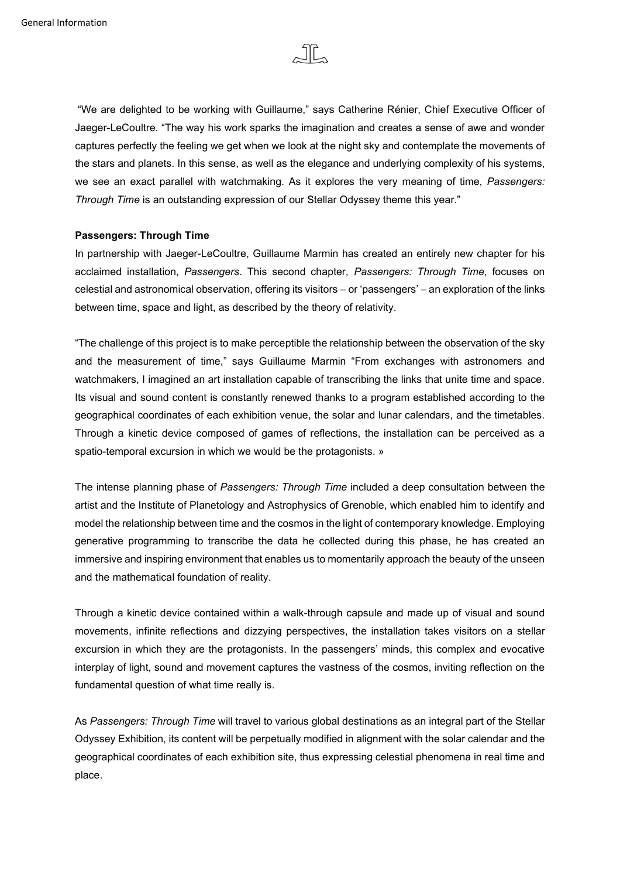

"We are delighted to be working with Guillaume," says Catherine Rénier, Chief Executive Officer of Jaeger-LeCoultre. "The way his work sparks the imagination and creates a sense of awe and wonder captures perfectly the feeling we get when we look at the night sky and contemplate the movements of the stars and planets. In this sense, as well as the elegance and underlying complexity of his systems, we see an exact parallel with watchmaking. As it explores the very meaning of time, *Passengers: Through Time* is an outstanding expression of our Stellar Odyssey theme this year."

## **Passengers: Through Time**

In partnership with Jaeger-LeCoultre, Guillaume Marmin has created an entirely new chapter for his acclaimed installation, *Passengers*. This second chapter, *Passengers: Through Time*, focuses on celestial and astronomical observation, offering its visitors – or 'passengers' – an exploration of the links between time, space and light, as described by the theory of relativity.

"The challenge of this project is to make perceptible the relationship between the observation of the sky and the measurement of time," says Guillaume Marmin "From exchanges with astronomers and watchmakers, I imagined an art installation capable of transcribing the links that unite time and space. Its visual and sound content is constantly renewed thanks to a program established according to the geographical coordinates of each exhibition venue, the solar and lunar calendars, and the timetables. Through a kinetic device composed of games of reflections, the installation can be perceived as a spatio-temporal excursion in which we would be the protagonists. »

The intense planning phase of *Passengers: Through Time* included a deep consultation between the artist and the Institute of Planetology and Astrophysics of Grenoble, which enabled him to identify and model the relationship between time and the cosmos in the light of contemporary knowledge. Employing generative programming to transcribe the data he collected during this phase, he has created an immersive and inspiring environment that enables us to momentarily approach the beauty of the unseen and the mathematical foundation of reality.

Through a kinetic device contained within a walk-through capsule and made up of visual and sound movements, infinite reflections and dizzying perspectives, the installation takes visitors on a stellar excursion in which they are the protagonists. In the passengers' minds, this complex and evocative interplay of light, sound and movement captures the vastness of the cosmos, inviting reflection on the fundamental question of what time really is.

As *Passengers: Through Time* will travel to various global destinations as an integral part of the Stellar Odyssey Exhibition, its content will be perpetually modified in alignment with the solar calendar and the geographical coordinates of each exhibition site, thus expressing celestial phenomena in real time and place.